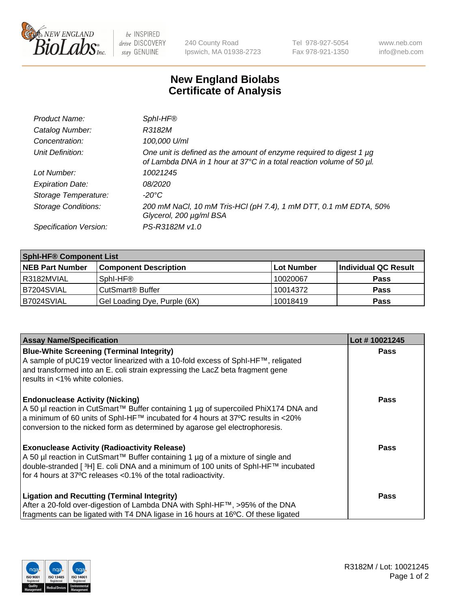

be INSPIRED drive DISCOVERY stay GENUINE

240 County Road Ipswich, MA 01938-2723 Tel 978-927-5054 Fax 978-921-1350 www.neb.com info@neb.com

## **New England Biolabs Certificate of Analysis**

| Product Name:              | Sphl-HF®                                                                                                                                    |
|----------------------------|---------------------------------------------------------------------------------------------------------------------------------------------|
| Catalog Number:            | R3182M                                                                                                                                      |
| Concentration:             | 100,000 U/ml                                                                                                                                |
| Unit Definition:           | One unit is defined as the amount of enzyme required to digest 1 µg<br>of Lambda DNA in 1 hour at 37°C in a total reaction volume of 50 µl. |
| Lot Number:                | 10021245                                                                                                                                    |
| <b>Expiration Date:</b>    | <i>08/2020</i>                                                                                                                              |
| Storage Temperature:       | $-20^{\circ}$ C                                                                                                                             |
| <b>Storage Conditions:</b> | 200 mM NaCl, 10 mM Tris-HCl (pH 7.4), 1 mM DTT, 0.1 mM EDTA, 50%<br>Glycerol, 200 µg/ml BSA                                                 |
| Specification Version:     | PS-R3182M v1.0                                                                                                                              |

| <b>Sphi-HF® Component List</b> |                                    |                   |                      |  |  |
|--------------------------------|------------------------------------|-------------------|----------------------|--|--|
| <b>NEB Part Number</b>         | <b>Component Description</b>       | <b>Lot Number</b> | Individual QC Result |  |  |
| I R3182MVIAL                   | Sphl-HF®                           | 10020067          | <b>Pass</b>          |  |  |
| B7204SVIAL                     | <b>CutSmart<sup>®</sup> Buffer</b> | 10014372          | <b>Pass</b>          |  |  |
| B7024SVIAL                     | Gel Loading Dye, Purple (6X)       | 10018419          | <b>Pass</b>          |  |  |

| <b>Assay Name/Specification</b>                                                                                                                                                                                                                         | Lot #10021245 |
|---------------------------------------------------------------------------------------------------------------------------------------------------------------------------------------------------------------------------------------------------------|---------------|
| <b>Blue-White Screening (Terminal Integrity)</b><br>A sample of pUC19 vector linearized with a 10-fold excess of SphI-HF™, religated                                                                                                                    | <b>Pass</b>   |
| and transformed into an E. coli strain expressing the LacZ beta fragment gene<br>results in <1% white colonies.                                                                                                                                         |               |
| <b>Endonuclease Activity (Nicking)</b>                                                                                                                                                                                                                  | Pass          |
| A 50 µl reaction in CutSmart™ Buffer containing 1 µg of supercoiled PhiX174 DNA and<br>  a minimum of 60 units of SphI-HF™ incubated for 4 hours at 37°C results in <20%<br>conversion to the nicked form as determined by agarose gel electrophoresis. |               |
| <b>Exonuclease Activity (Radioactivity Release)</b>                                                                                                                                                                                                     | Pass          |
| A 50 µl reaction in CutSmart™ Buffer containing 1 µg of a mixture of single and                                                                                                                                                                         |               |
| double-stranded [3H] E. coli DNA and a minimum of 100 units of SphI-HF™ incubated<br>for 4 hours at 37°C releases <0.1% of the total radioactivity.                                                                                                     |               |
|                                                                                                                                                                                                                                                         |               |
| <b>Ligation and Recutting (Terminal Integrity)</b>                                                                                                                                                                                                      | <b>Pass</b>   |
| After a 20-fold over-digestion of Lambda DNA with SphI-HF™, >95% of the DNA                                                                                                                                                                             |               |
| fragments can be ligated with T4 DNA ligase in 16 hours at 16°C. Of these ligated                                                                                                                                                                       |               |